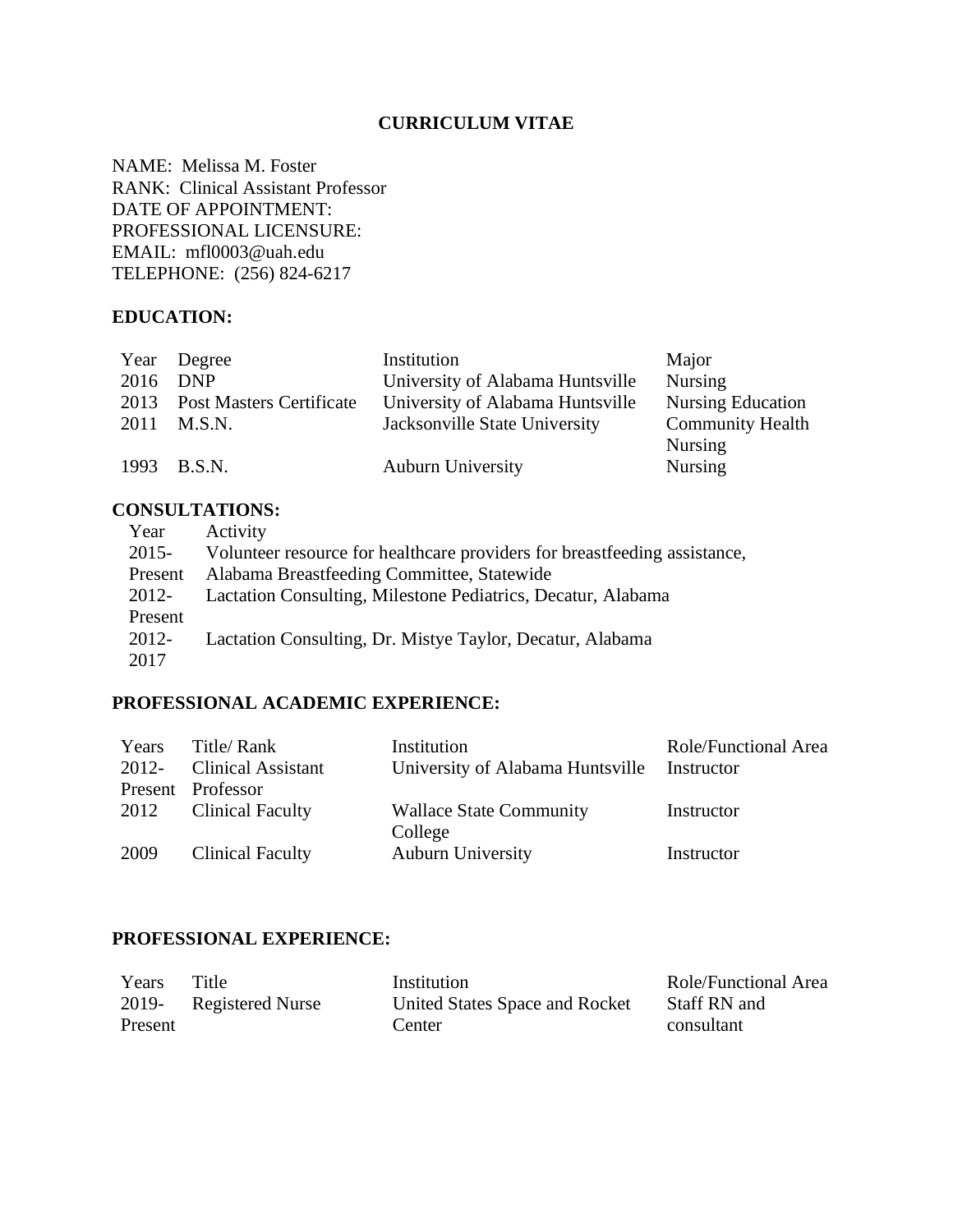### **CURRICULUM VITAE**

NAME: Melissa M. Foster RANK: Clinical Assistant Professor DATE OF APPOINTMENT: PROFESSIONAL LICENSURE: EMAIL: mfl0003@uah.edu TELEPHONE: (256) 824-6217

#### **EDUCATION:**

| Year Degree                   | Institution                      | Major                    |
|-------------------------------|----------------------------------|--------------------------|
| 2016 DNP                      | University of Alabama Huntsville | <b>Nursing</b>           |
| 2013 Post Masters Certificate | University of Alabama Huntsville | <b>Nursing Education</b> |
| 2011 M.S.N.                   | Jacksonville State University    | <b>Community Health</b>  |
|                               |                                  | <b>Nursing</b>           |
| 1993 B.S.N.                   | <b>Auburn University</b>         | <b>Nursing</b>           |
|                               |                                  |                          |

### **CONSULTATIONS:**

| Year     | Activity                                                                  |
|----------|---------------------------------------------------------------------------|
| $2015 -$ | Volunteer resource for healthcare providers for breastfeeding assistance, |
| Present  | Alabama Breastfeeding Committee, Statewide                                |
| 2012-    | Lactation Consulting, Milestone Pediatrics, Decatur, Alabama              |
| Present  |                                                                           |
| 2012-    | Lactation Consulting, Dr. Mistye Taylor, Decatur, Alabama                 |
| 2017     |                                                                           |

# **PROFESSIONAL ACADEMIC EXPERIENCE:**

| Years    | Title/ Rank               | Institution                               | <b>Role/Functional Area</b> |
|----------|---------------------------|-------------------------------------------|-----------------------------|
| $2012 -$ | <b>Clinical Assistant</b> | University of Alabama Huntsville          | Instructor                  |
|          | Present Professor         |                                           |                             |
|          | 2012 Clinical Faculty     | <b>Wallace State Community</b><br>College | Instructor                  |
| 2009     | <b>Clinical Faculty</b>   | <b>Auburn University</b>                  | Instructor                  |

#### **PROFESSIONAL EXPERIENCE:**

| Years   | Title                   | Institution                    | <b>Role/Functional Area</b> |
|---------|-------------------------|--------------------------------|-----------------------------|
| 2019-   | <b>Registered Nurse</b> | United States Space and Rocket | Staff RN and                |
| Present |                         | Center                         | consultant                  |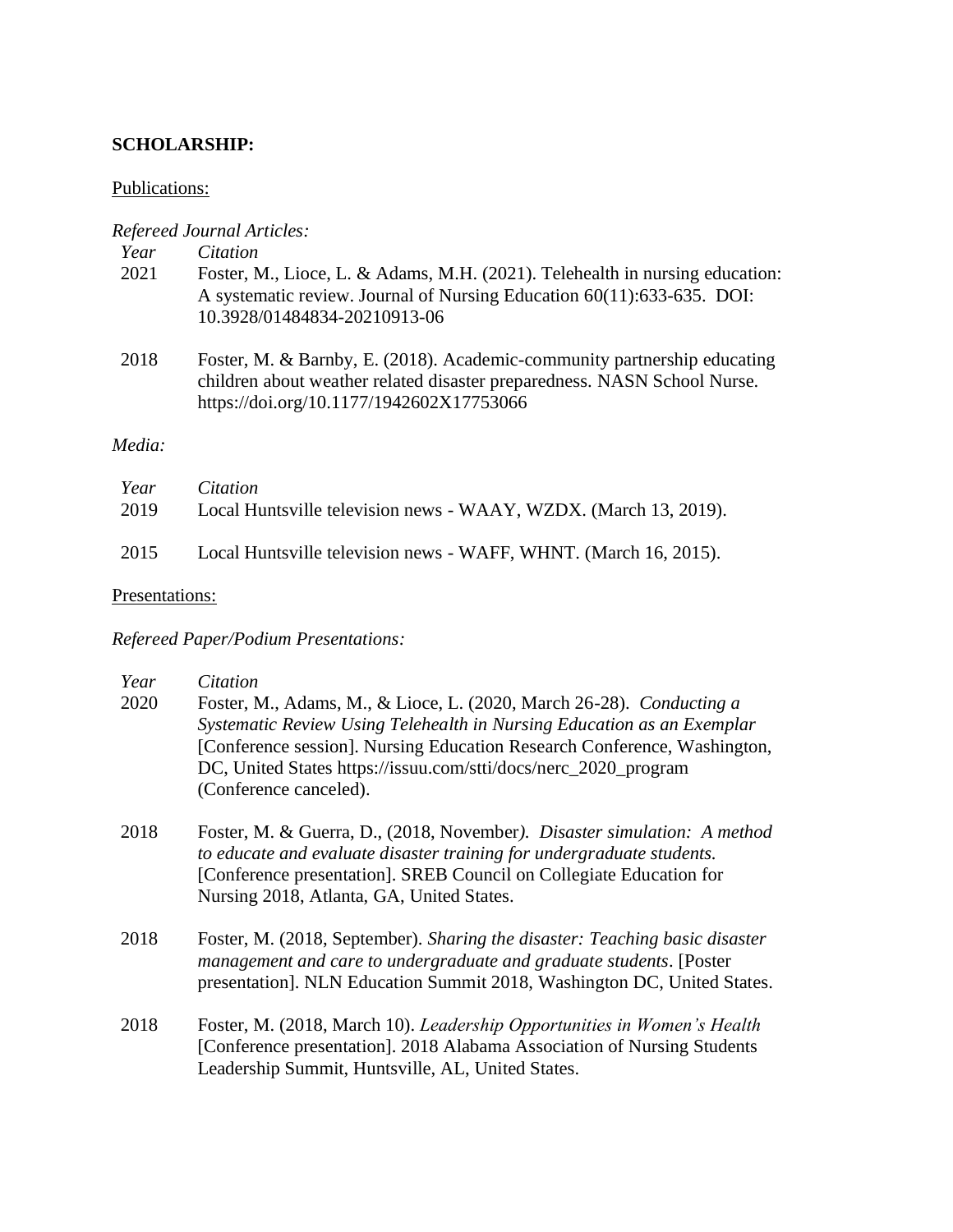### **SCHOLARSHIP:**

#### Publications:

#### *Refereed Journal Articles:*

*Year Citation*

- 2021 Foster, M., Lioce, L. & Adams, M.H. (2021). Telehealth in nursing education: A systematic review. Journal of Nursing Education 60(11):633-635. DOI: 10.3928/01484834-20210913-06
- 2018 Foster, M. & Barnby, E. (2018). Academic-community partnership educating children about weather related disaster preparedness. NASN School Nurse. https://doi.org/10.1177/1942602X17753066

#### *Media:*

| Year | <i>Citation</i>                                                  |
|------|------------------------------------------------------------------|
| 2019 | Local Huntsville television news - WAAY, WZDX. (March 13, 2019). |
| 2015 | Local Huntsville television news - WAFF, WHNT. (March 16, 2015). |

#### Presentations:

### *Refereed Paper/Podium Presentations:*

| Year | Citation                                                                                                                                                                                                                                                                                                                |
|------|-------------------------------------------------------------------------------------------------------------------------------------------------------------------------------------------------------------------------------------------------------------------------------------------------------------------------|
| 2020 | Foster, M., Adams, M., & Lioce, L. (2020, March 26-28). Conducting a<br>Systematic Review Using Telehealth in Nursing Education as an Exemplar<br>[Conference session]. Nursing Education Research Conference, Washington,<br>DC, United States https://issuu.com/stti/docs/nerc_2020_program<br>(Conference canceled). |
| 2018 | Foster, M. & Guerra, D., (2018, November). Disaster simulation: A method<br>to educate and evaluate disaster training for undergraduate students.<br>[Conference presentation]. SREB Council on Collegiate Education for<br>Nursing 2018, Atlanta, GA, United States.                                                   |
| 2018 | Foster, M. (2018, September). Sharing the disaster: Teaching basic disaster<br>management and care to undergraduate and graduate students. [Poster]<br>presentation]. NLN Education Summit 2018, Washington DC, United States.                                                                                          |
| 2018 | Foster, M. (2018, March 10). Leadership Opportunities in Women's Health<br>[Conference presentation]. 2018 Alabama Association of Nursing Students<br>Leadership Summit, Huntsville, AL, United States.                                                                                                                 |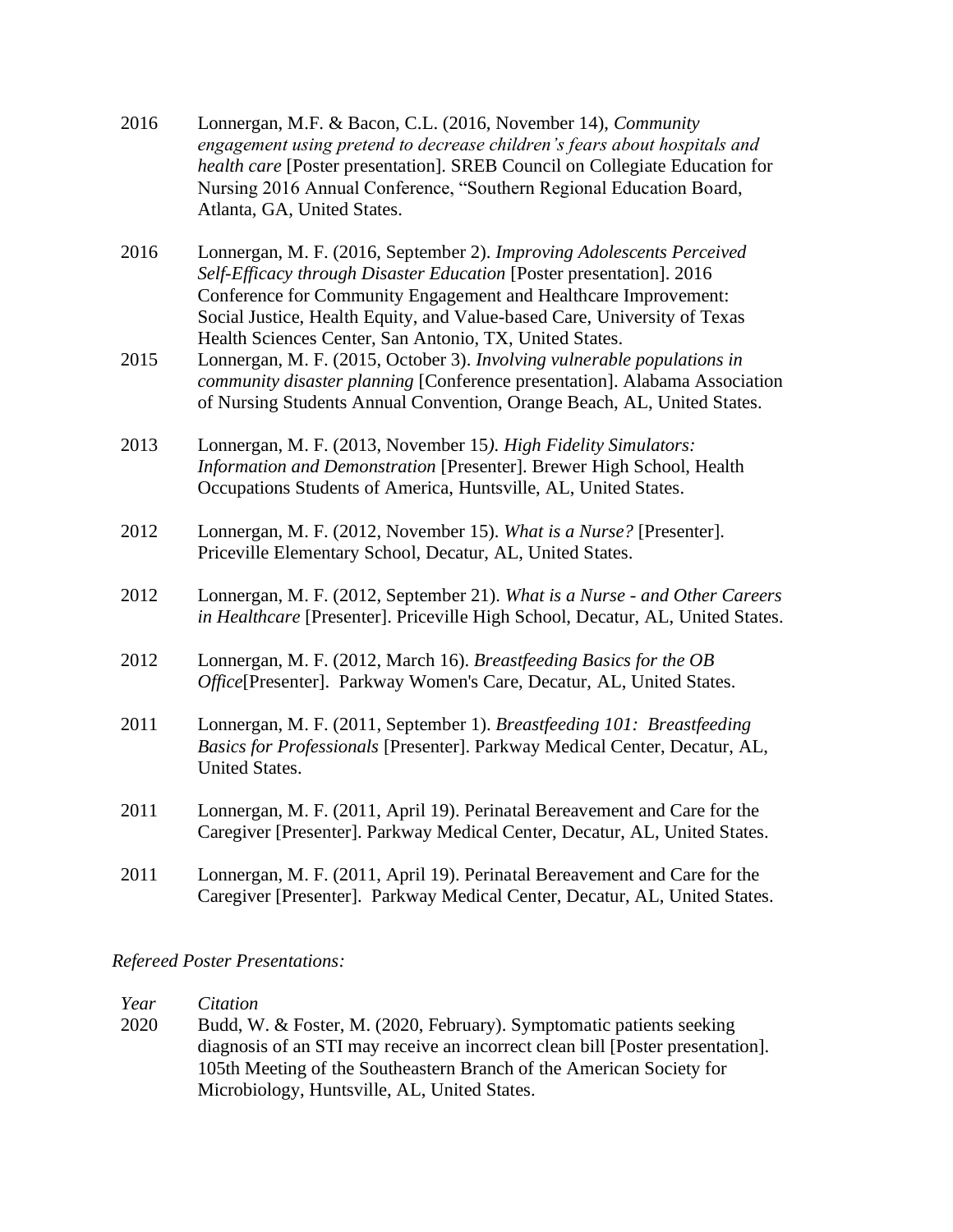| 2016 | Lonnergan, M.F. & Bacon, C.L. (2016, November 14), Community<br>engagement using pretend to decrease children's fears about hospitals and<br>health care [Poster presentation]. SREB Council on Collegiate Education for<br>Nursing 2016 Annual Conference, "Southern Regional Education Board,<br>Atlanta, GA, United States.                          |
|------|---------------------------------------------------------------------------------------------------------------------------------------------------------------------------------------------------------------------------------------------------------------------------------------------------------------------------------------------------------|
| 2016 | Lonnergan, M. F. (2016, September 2). Improving Adolescents Perceived<br>Self-Efficacy through Disaster Education [Poster presentation]. 2016<br>Conference for Community Engagement and Healthcare Improvement:<br>Social Justice, Health Equity, and Value-based Care, University of Texas<br>Health Sciences Center, San Antonio, TX, United States. |
| 2015 | Lonnergan, M. F. (2015, October 3). Involving vulnerable populations in<br>community disaster planning [Conference presentation]. Alabama Association<br>of Nursing Students Annual Convention, Orange Beach, AL, United States.                                                                                                                        |
| 2013 | Lonnergan, M. F. (2013, November 15). High Fidelity Simulators:<br>Information and Demonstration [Presenter]. Brewer High School, Health<br>Occupations Students of America, Huntsville, AL, United States.                                                                                                                                             |
| 2012 | Lonnergan, M. F. (2012, November 15). What is a Nurse? [Presenter].<br>Priceville Elementary School, Decatur, AL, United States.                                                                                                                                                                                                                        |
| 2012 | Lonnergan, M. F. (2012, September 21). What is a Nurse - and Other Careers<br>in Healthcare [Presenter]. Priceville High School, Decatur, AL, United States.                                                                                                                                                                                            |
| 2012 | Lonnergan, M. F. (2012, March 16). Breastfeeding Basics for the OB<br>Office[Presenter]. Parkway Women's Care, Decatur, AL, United States.                                                                                                                                                                                                              |
| 2011 | Lonnergan, M. F. (2011, September 1). Breastfeeding 101: Breastfeeding<br>Basics for Professionals [Presenter]. Parkway Medical Center, Decatur, AL,<br>United States.                                                                                                                                                                                  |
| 2011 | Lonnergan, M. F. (2011, April 19). Perinatal Bereavement and Care for the<br>Caregiver [Presenter]. Parkway Medical Center, Decatur, AL, United States.                                                                                                                                                                                                 |
| 2011 | Lonnergan, M. F. (2011, April 19). Perinatal Bereavement and Care for the<br>Caregiver [Presenter]. Parkway Medical Center, Decatur, AL, United States.                                                                                                                                                                                                 |

### *Refereed Poster Presentations:*

*Year Citation* 2020 Budd, W. & Foster, M. (2020, February). Symptomatic patients seeking diagnosis of an STI may receive an incorrect clean bill [Poster presentation]. 105th Meeting of the Southeastern Branch of the American Society for Microbiology, Huntsville, AL, United States.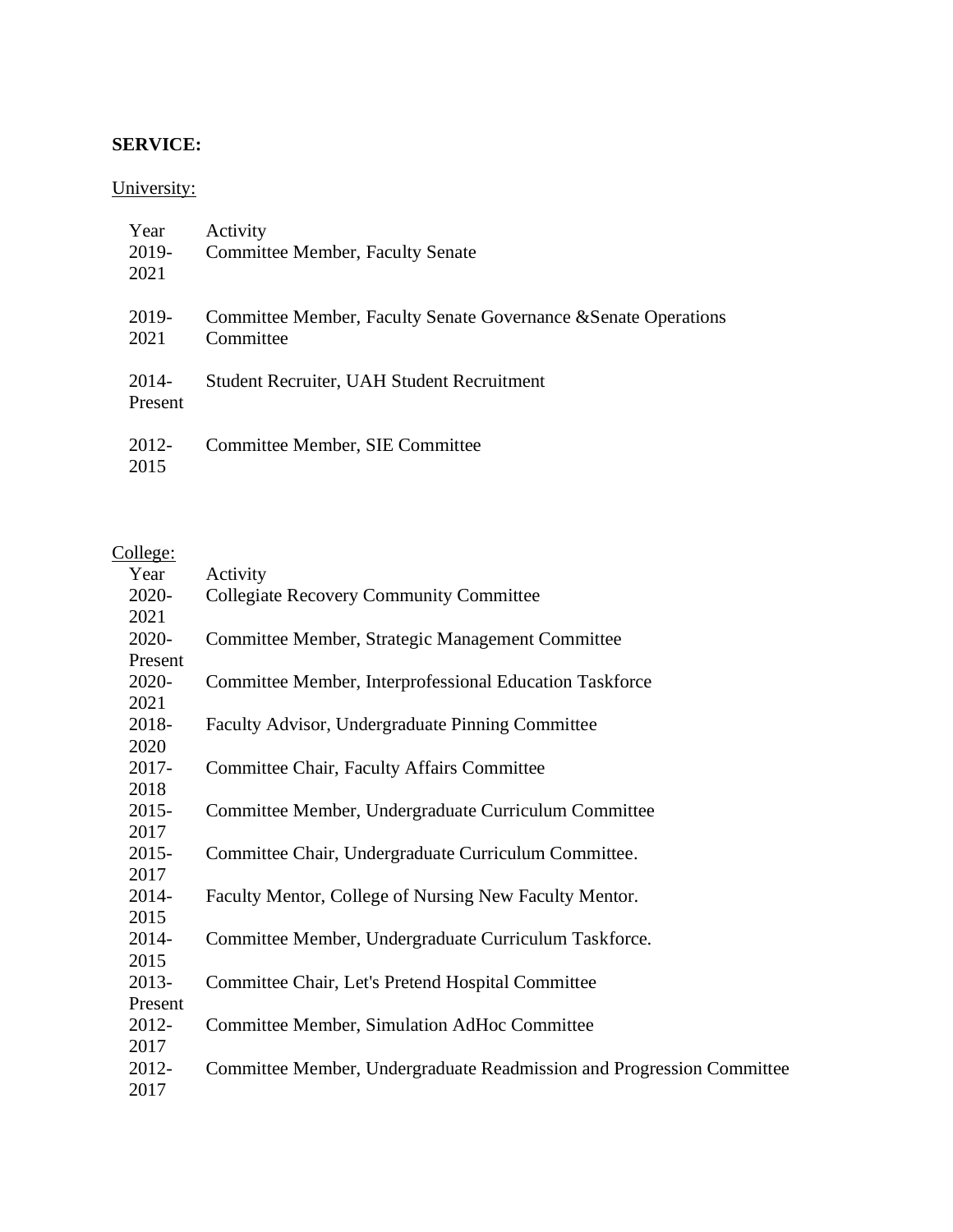# **SERVICE:**

# University:

| Year<br>2019-<br>2021 | Activity<br>Committee Member, Faculty Senate                                 |
|-----------------------|------------------------------------------------------------------------------|
| 2019-<br>2021         | Committee Member, Faculty Senate Governance & Senate Operations<br>Committee |
| 2014-<br>Present      | <b>Student Recruiter, UAH Student Recruitment</b>                            |
| 2012-<br>2015         | Committee Member, SIE Committee                                              |

# College:

| Year     | Activity                                                              |
|----------|-----------------------------------------------------------------------|
| 2020-    | <b>Collegiate Recovery Community Committee</b>                        |
| 2021     |                                                                       |
| 2020-    | Committee Member, Strategic Management Committee                      |
| Present  |                                                                       |
| 2020-    | Committee Member, Interprofessional Education Taskforce               |
| 2021     |                                                                       |
| 2018-    | Faculty Advisor, Undergraduate Pinning Committee                      |
| 2020     |                                                                       |
| $2017 -$ | Committee Chair, Faculty Affairs Committee                            |
| 2018     |                                                                       |
| $2015 -$ | Committee Member, Undergraduate Curriculum Committee                  |
| 2017     |                                                                       |
| $2015 -$ | Committee Chair, Undergraduate Curriculum Committee.                  |
| 2017     |                                                                       |
| 2014-    | Faculty Mentor, College of Nursing New Faculty Mentor.                |
| 2015     |                                                                       |
| 2014-    | Committee Member, Undergraduate Curriculum Taskforce.                 |
| 2015     |                                                                       |
| 2013-    | Committee Chair, Let's Pretend Hospital Committee                     |
| Present  |                                                                       |
| 2012-    | Committee Member, Simulation AdHoc Committee                          |
| 2017     |                                                                       |
| 2012-    | Committee Member, Undergraduate Readmission and Progression Committee |
| 2017     |                                                                       |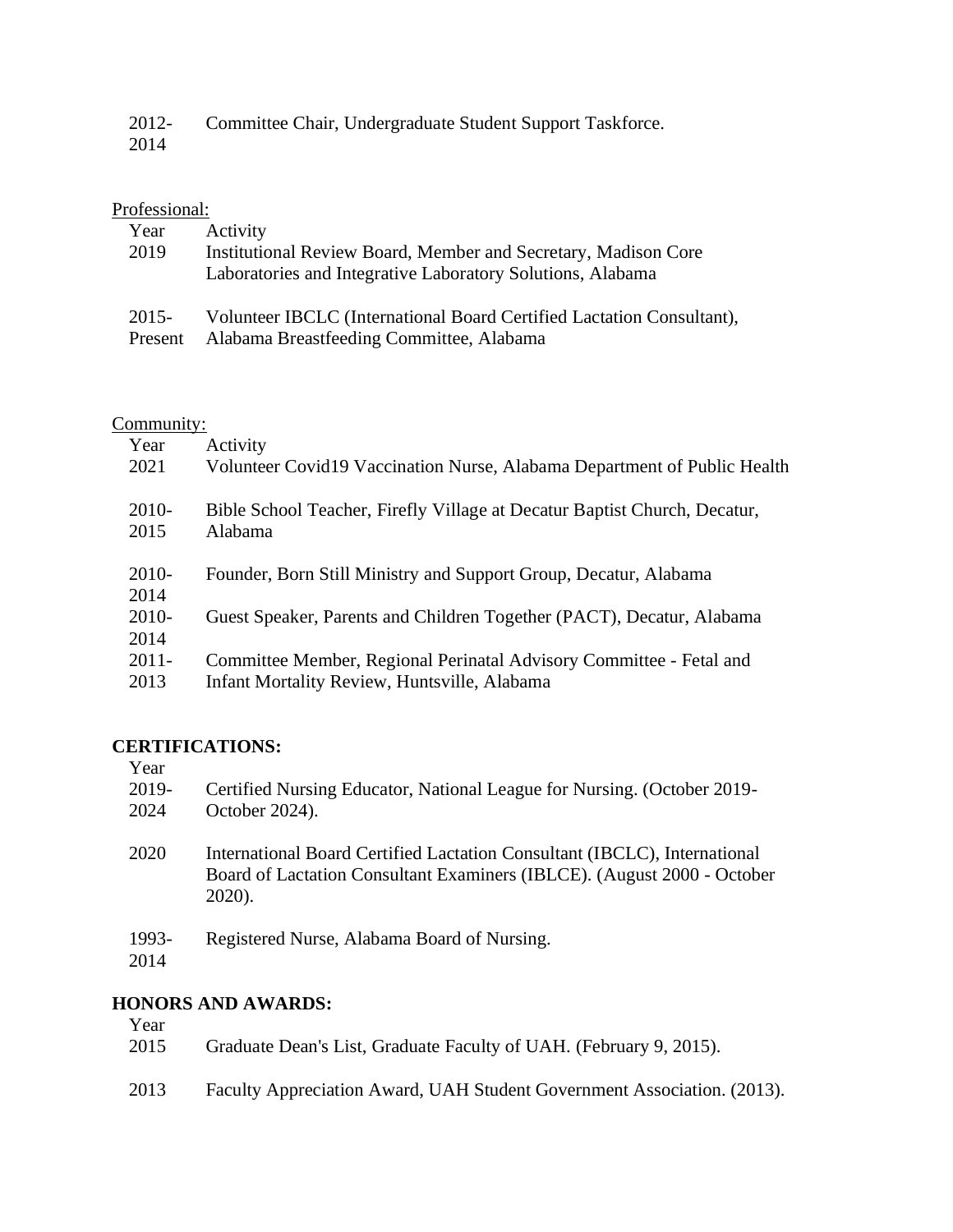| $2012 -$ | Committee Chair, Undergraduate Student Support Taskforce. |
|----------|-----------------------------------------------------------|
| 2014     |                                                           |

# Professional:

| Year<br>2019 | Activity<br>Institutional Review Board, Member and Secretary, Madison Core<br>Laboratories and Integrative Laboratory Solutions, Alabama |
|--------------|------------------------------------------------------------------------------------------------------------------------------------------|
| 2015-        | Volunteer IBCLC (International Board Certified Lactation Consultant),                                                                    |
| Present      | Alabama Breastfeeding Committee, Alabama                                                                                                 |

# Community:

| Year     | Activity                                                                  |
|----------|---------------------------------------------------------------------------|
| 2021     | Volunteer Covid19 Vaccination Nurse, Alabama Department of Public Health  |
| 2010-    | Bible School Teacher, Firefly Village at Decatur Baptist Church, Decatur, |
| 2015     | Alabama                                                                   |
| $2010-$  | Founder, Born Still Ministry and Support Group, Decatur, Alabama          |
| 2014     |                                                                           |
| $2010-$  | Guest Speaker, Parents and Children Together (PACT), Decatur, Alabama     |
| 2014     |                                                                           |
| $2011 -$ | Committee Member, Regional Perinatal Advisory Committee - Fetal and       |
| 2013     | Infant Mortality Review, Huntsville, Alabama                              |

### **CERTIFICATIONS:**

| Year          |                                                                                                                                                                |
|---------------|----------------------------------------------------------------------------------------------------------------------------------------------------------------|
| 2019-<br>2024 | Certified Nursing Educator, National League for Nursing. (October 2019-<br>October 2024).                                                                      |
|               |                                                                                                                                                                |
| 2020          | International Board Certified Lactation Consultant (IBCLC), International<br>Board of Lactation Consultant Examiners (IBLCE). (August 2000 - October<br>2020). |
| 1993-         | Registered Nurse, Alabama Board of Nursing.                                                                                                                    |
| 2014          |                                                                                                                                                                |
|               | IANARS AND AWARDS.                                                                                                                                             |

# **HONORS AND AWARDS:**

| Year<br>2015 | Graduate Dean's List, Graduate Faculty of UAH. (February 9, 2015).      |
|--------------|-------------------------------------------------------------------------|
| 2013         | Faculty Appreciation Award, UAH Student Government Association. (2013). |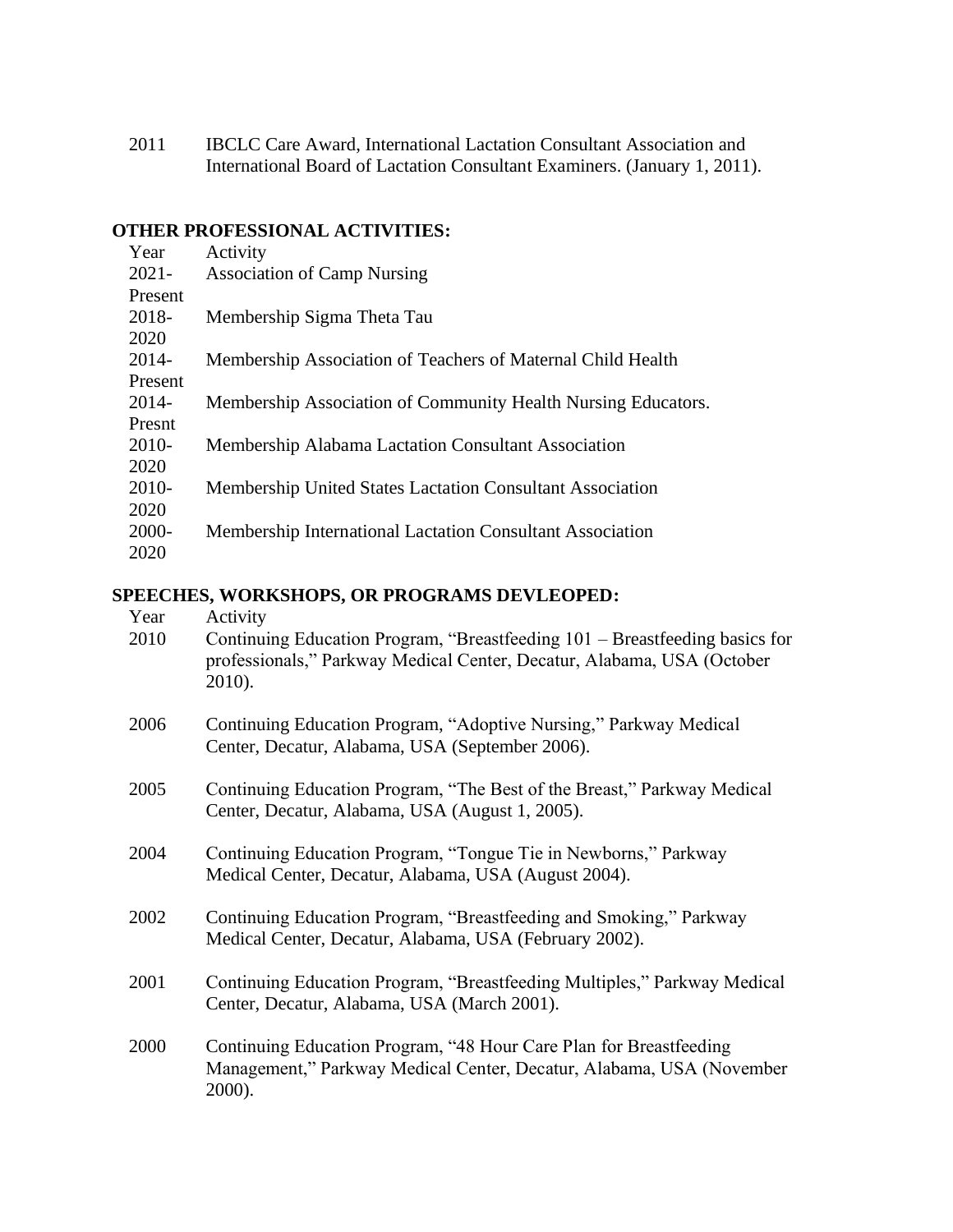2011 IBCLC Care Award, International Lactation Consultant Association and International Board of Lactation Consultant Examiners. (January 1, 2011).

#### **OTHER PROFESSIONAL ACTIVITIES:**

| Year     | Activity                                                      |
|----------|---------------------------------------------------------------|
| $2021 -$ | <b>Association of Camp Nursing</b>                            |
| Present  |                                                               |
| 2018-    | Membership Sigma Theta Tau                                    |
| 2020     |                                                               |
| $2014 -$ | Membership Association of Teachers of Maternal Child Health   |
| Present  |                                                               |
| 2014-    | Membership Association of Community Health Nursing Educators. |
| Presnt   |                                                               |
| 2010-    | Membership Alabama Lactation Consultant Association           |
| 2020     |                                                               |
| 2010-    | Membership United States Lactation Consultant Association     |
| 2020     |                                                               |
| 2000-    | Membership International Lactation Consultant Association     |
| 2020     |                                                               |

### **SPEECHES, WORKSHOPS, OR PROGRAMS DEVLEOPED:**

| Year | Activity             |
|------|----------------------|
| 2010 | Continuing Education |

- Program, "Breastfeeding  $101$  Breastfeeding basics for professionals," Parkway Medical Center, Decatur, Alabama, USA (October 2010).
- 2006 Continuing Education Program, "Adoptive Nursing," Parkway Medical Center, Decatur, Alabama, USA (September 2006).
- 2005 Continuing Education Program, "The Best of the Breast," Parkway Medical Center, Decatur, Alabama, USA (August 1, 2005).
- 2004 Continuing Education Program, "Tongue Tie in Newborns," Parkway Medical Center, Decatur, Alabama, USA (August 2004).
- 2002 Continuing Education Program, "Breastfeeding and Smoking," Parkway Medical Center, Decatur, Alabama, USA (February 2002).
- 2001 Continuing Education Program, "Breastfeeding Multiples," Parkway Medical Center, Decatur, Alabama, USA (March 2001).
- 2000 Continuing Education Program, "48 Hour Care Plan for Breastfeeding Management," Parkway Medical Center, Decatur, Alabama, USA (November 2000).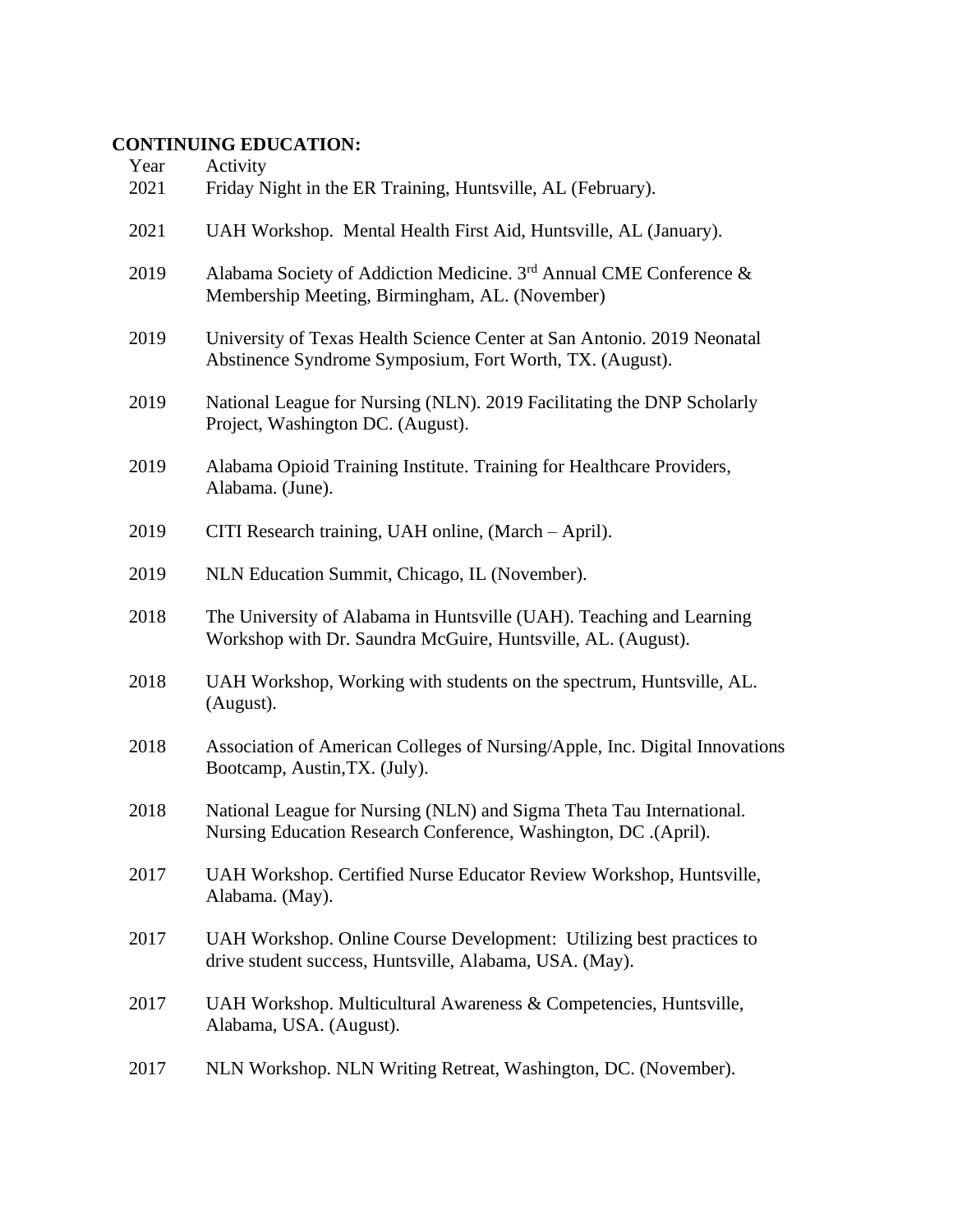# **CONTINUING EDUCATION:**

| Year<br>2021 | Activity<br>Friday Night in the ER Training, Huntsville, AL (February).                                                                 |
|--------------|-----------------------------------------------------------------------------------------------------------------------------------------|
| 2021         | UAH Workshop. Mental Health First Aid, Huntsville, AL (January).                                                                        |
| 2019         | Alabama Society of Addiction Medicine. 3rd Annual CME Conference &<br>Membership Meeting, Birmingham, AL. (November)                    |
| 2019         | University of Texas Health Science Center at San Antonio. 2019 Neonatal<br>Abstinence Syndrome Symposium, Fort Worth, TX. (August).     |
| 2019         | National League for Nursing (NLN). 2019 Facilitating the DNP Scholarly<br>Project, Washington DC. (August).                             |
| 2019         | Alabama Opioid Training Institute. Training for Healthcare Providers,<br>Alabama. (June).                                               |
| 2019         | CITI Research training, UAH online, (March – April).                                                                                    |
| 2019         | NLN Education Summit, Chicago, IL (November).                                                                                           |
| 2018         | The University of Alabama in Huntsville (UAH). Teaching and Learning<br>Workshop with Dr. Saundra McGuire, Huntsville, AL. (August).    |
| 2018         | UAH Workshop, Working with students on the spectrum, Huntsville, AL.<br>(August).                                                       |
| 2018         | Association of American Colleges of Nursing/Apple, Inc. Digital Innovations<br>Bootcamp, Austin, TX. (July).                            |
| 2018         | National League for Nursing (NLN) and Sigma Theta Tau International.<br>Nursing Education Research Conference, Washington, DC .(April). |
| 2017         | UAH Workshop. Certified Nurse Educator Review Workshop, Huntsville,<br>Alabama. (May).                                                  |
| 2017         | UAH Workshop. Online Course Development: Utilizing best practices to<br>drive student success, Huntsville, Alabama, USA. (May).         |
| 2017         | UAH Workshop. Multicultural Awareness & Competencies, Huntsville,<br>Alabama, USA. (August).                                            |
| 2017         | NLN Workshop. NLN Writing Retreat, Washington, DC. (November).                                                                          |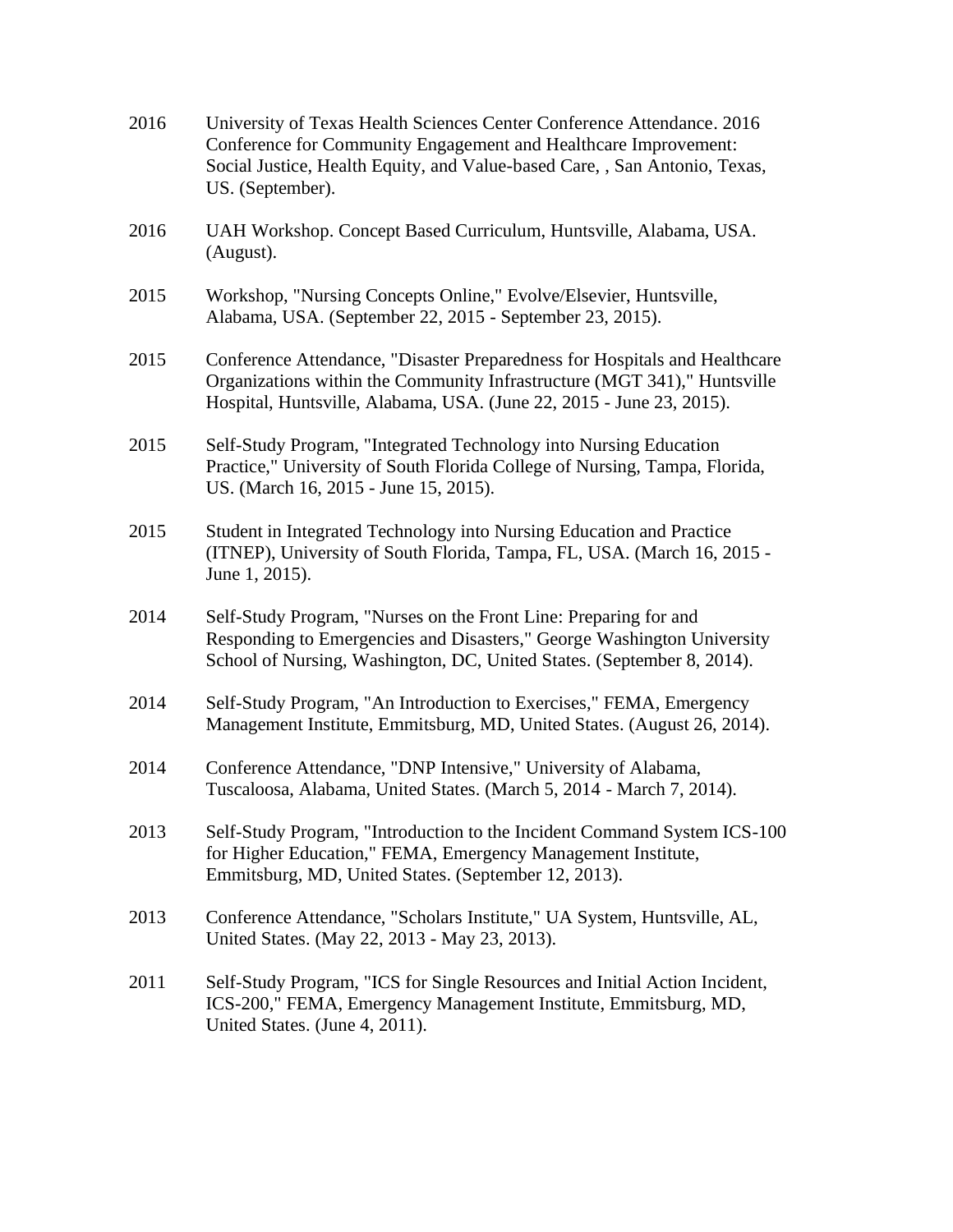| 2016 | University of Texas Health Sciences Center Conference Attendance. 2016<br>Conference for Community Engagement and Healthcare Improvement:<br>Social Justice, Health Equity, and Value-based Care, , San Antonio, Texas,<br>US. (September). |
|------|---------------------------------------------------------------------------------------------------------------------------------------------------------------------------------------------------------------------------------------------|
| 2016 | UAH Workshop. Concept Based Curriculum, Huntsville, Alabama, USA.<br>(August).                                                                                                                                                              |
| 2015 | Workshop, "Nursing Concepts Online," Evolve/Elsevier, Huntsville,<br>Alabama, USA. (September 22, 2015 - September 23, 2015).                                                                                                               |
| 2015 | Conference Attendance, "Disaster Preparedness for Hospitals and Healthcare<br>Organizations within the Community Infrastructure (MGT 341)," Huntsville<br>Hospital, Huntsville, Alabama, USA. (June 22, 2015 - June 23, 2015).              |
| 2015 | Self-Study Program, "Integrated Technology into Nursing Education<br>Practice," University of South Florida College of Nursing, Tampa, Florida,<br>US. (March 16, 2015 - June 15, 2015).                                                    |
| 2015 | Student in Integrated Technology into Nursing Education and Practice<br>(ITNEP), University of South Florida, Tampa, FL, USA. (March 16, 2015 -<br>June 1, 2015).                                                                           |
| 2014 | Self-Study Program, "Nurses on the Front Line: Preparing for and<br>Responding to Emergencies and Disasters," George Washington University<br>School of Nursing, Washington, DC, United States. (September 8, 2014).                        |
| 2014 | Self-Study Program, "An Introduction to Exercises," FEMA, Emergency<br>Management Institute, Emmitsburg, MD, United States. (August 26, 2014).                                                                                              |
| 2014 | Conference Attendance, "DNP Intensive," University of Alabama,<br>Tuscaloosa, Alabama, United States. (March 5, 2014 - March 7, 2014).                                                                                                      |
| 2013 | Self-Study Program, "Introduction to the Incident Command System ICS-100<br>for Higher Education," FEMA, Emergency Management Institute,<br>Emmitsburg, MD, United States. (September 12, 2013).                                            |
| 2013 | Conference Attendance, "Scholars Institute," UA System, Huntsville, AL,<br>United States. (May 22, 2013 - May 23, 2013).                                                                                                                    |
| 2011 | Self-Study Program, "ICS for Single Resources and Initial Action Incident,<br>ICS-200," FEMA, Emergency Management Institute, Emmitsburg, MD,<br>United States. (June 4, 2011).                                                             |